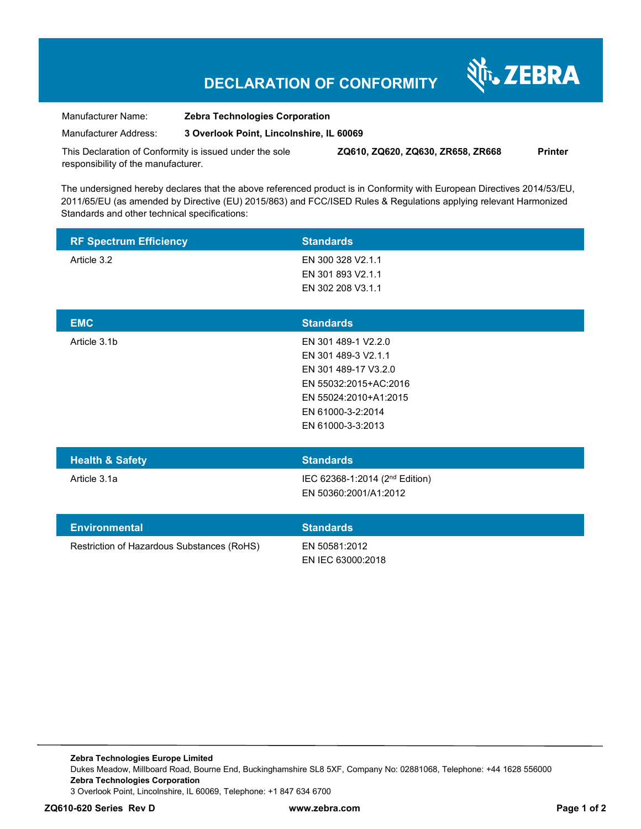## **DECLARATION OF CONFORMITY**

श्री<sub>1</sub>, ZEBRA

| Manufacturer Name:    | <b>Zebra Technologies Corporation</b>    |
|-----------------------|------------------------------------------|
| Manufacturer Address: | 3 Overlook Point, Lincolnshire, IL 60069 |

This Declaration of Conformity is issued under the sole responsibility of the manufacturer. **ZQ610, ZQ620, ZQ630, ZR658, ZR668 Printer** 

The undersigned hereby declares that the above referenced product is in Conformity with European Directives 2014/53/EU, 2011/65/EU (as amended by Directive (EU) 2015/863) and FCC/ISED Rules & Regulations applying relevant Harmonized Standards and other technical specifications:

| <b>RF Spectrum Efficiency</b>              | <b>Standards</b>                                                                                                                                               |
|--------------------------------------------|----------------------------------------------------------------------------------------------------------------------------------------------------------------|
| Article 3.2                                | EN 300 328 V2.1.1<br>EN 301 893 V2.1.1<br>EN 302 208 V3.1.1                                                                                                    |
| <b>EMC</b>                                 | <b>Standards</b>                                                                                                                                               |
| Article 3.1b                               | EN 301 489-1 V2.2.0<br>EN 301 489-3 V2.1.1<br>EN 301 489-17 V3.2.0<br>EN 55032:2015+AC:2016<br>EN 55024:2010+A1:2015<br>EN 61000-3-2:2014<br>EN 61000-3-3:2013 |
| <b>Health &amp; Safety</b>                 | <b>Standards</b>                                                                                                                                               |
| Article 3.1a                               | IEC 62368-1:2014 (2 <sup>nd</sup> Edition)<br>EN 50360:2001/A1:2012                                                                                            |
| <b>Environmental</b>                       | <b>Standards</b>                                                                                                                                               |
| Restriction of Hazardous Substances (RoHS) | EN 50581:2012<br>EN IEC 63000:2018                                                                                                                             |

**Zebra Technologies Europe Limited**  Dukes Meadow, Millboard Road, Bourne End, Buckinghamshire SL8 5XF, Company No: 02881068, Telephone: +44 1628 556000 **Zebra Technologies Corporation**  3 Overlook Point, Lincolnshire, IL 60069, Telephone: +1 847 634 6700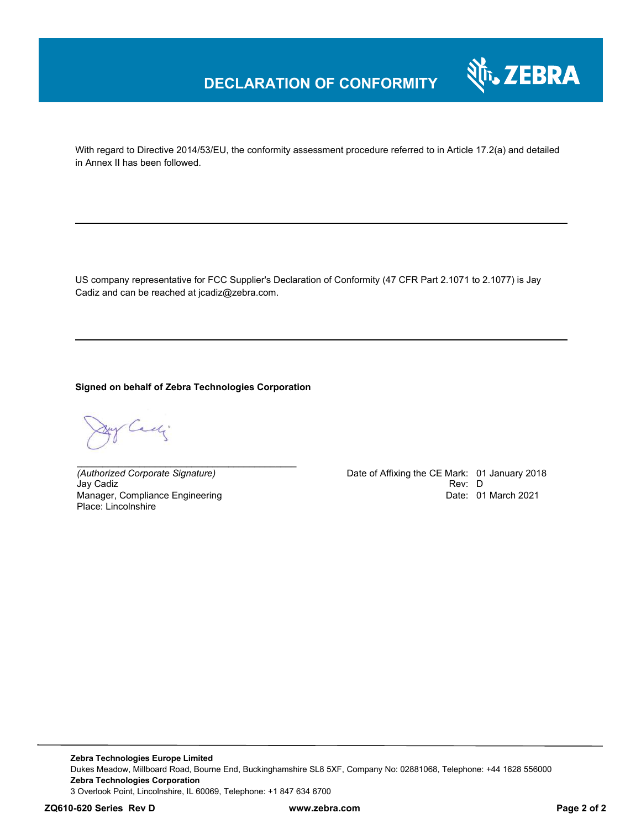

With regard to Directive 2014/53/EU, the conformity assessment procedure referred to in Article 17.2(a) and detailed in Annex II has been followed.

US company representative for FCC Supplier's Declaration of Conformity (47 CFR Part 2.1071 to 2.1077) is Jay Cadiz and can be reached at jcadiz@zebra.com.

**Signed on behalf of Zebra Technologies Corporation** 

*\_\_\_\_\_\_\_\_\_\_\_\_\_\_\_\_\_\_\_\_\_\_\_\_\_\_\_\_\_\_\_\_\_\_\_\_\_\_\_\_\_\_*

Cady.

Jay Cadiz Manager, Compliance Engineering Place: Lincolnshire

*(Authorized Corporate Signature)* Date of Affixing the CE Mark: 01 January 2018 Date: 01 March 2021